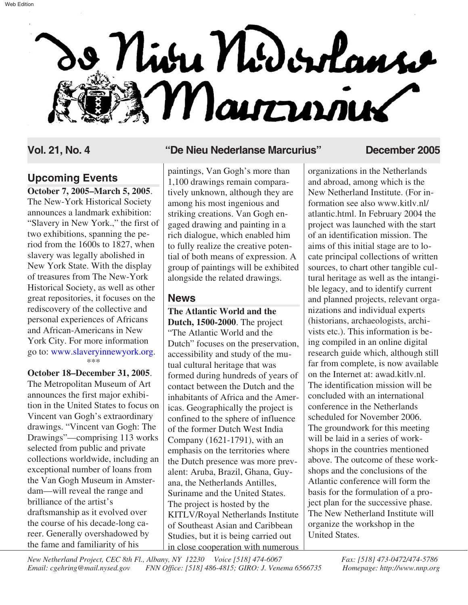# o Nivu Niderlans Mairries

# **Upcoming Events**

**October 7, 2005–March 5, 2005**. The New-York Historical Society announces a landmark exhibition: "Slavery in New York.," the first of two exhibitions, spanning the period from the 1600s to 1827, when slavery was legally abolished in New York State. With the display of treasures from The New-York Historical Society, as well as other great repositories, it focuses on the rediscovery of the collective and personal experiences of Africans and African-Americans in New York City. For more information \*\*\* go to: [www.slaveryinnewyork.org.](http://www.slaveryinnewyork.org)

**October 18–December 31, 2005**. The Metropolitan Museum of Art announces the first major exhibition in the United States to focus on Vincent van Gogh's extraordinary drawings. "Vincent van Gogh: The Drawings"—comprising 113 works selected from public and private collections worldwide, including an exceptional number of loans from the Van Gogh Museum in Amsterdam—will reveal the range and brilliance of the artist's draftsmanship as it evolved over the course of his decade-long career. Generally overshadowed by the fame and familiarity of his

#### **Vol. 21, No. 4 "De Nieu Nederlanse Marcurius" December 2005**

paintings, Van Gogh's more than 1,100 drawings remain comparatively unknown, although they are among his most ingenious and striking creations. Van Gogh engaged drawing and painting in a rich dialogue, which enabled him to fully realize the creative potential of both means of expression. A group of paintings will be exhibited alongside the related drawings.

### **News**

**The Atlantic World and the Dutch, 1500-2000**. The project "The Atlantic World and the Dutch" focuses on the preservation, accessibility and study of the mutual cultural heritage that was formed during hundreds of years of contact between the Dutch and the inhabitants of Africa and the Americas. Geographically the project is confined to the sphere of influence of the former Dutch West India Company (1621-1791), with an emphasis on the territories where the Dutch presence was more prevalent: Aruba, Brazil, Ghana, Guyana, the Netherlands Antilles, Suriname and the United States. The project is hosted by the KITLV/Royal Netherlands Institute of Southeast Asian and Caribbean Studies, but it is being carried out in close cooperation with numerous

organizations in the Netherlands and abroad, among which is the New Netherland Institute. (For information see also www.kitlv.nl/ atlantic.html. In February 2004 the project was launched with the start of an identification mission. The aims of this initial stage are to locate principal collections of written sources, to chart other tangible cultural heritage as well as the intangible legacy, and to identify current and planned projects, relevant organizations and individual experts (historians, archaeologists, archivists etc.). This information is being compiled in an online digital research guide which, although still far from complete, is now available on the Internet at: awad.kitlv.nl. The identification mission will be concluded with an international conference in the Netherlands scheduled for November 2006. The groundwork for this meeting will be laid in a series of workshops in the countries mentioned above. The outcome of these workshops and the conclusions of the Atlantic conference will form the basis for the formulation of a project plan for the successive phase. The New Netherland Institute will organize the workshop in the United States.

*New Netherland Project, CEC 8th Fl., Albany, NY 12230 Voice [518] 474-6067 Fax: [518] 473-0472/474-5786 Email: cgehring@mail.nysed.gov FNN Office: [518] 486-4815; GIRO: J. Venema 6566735 Homepage: http://www.nnp.org*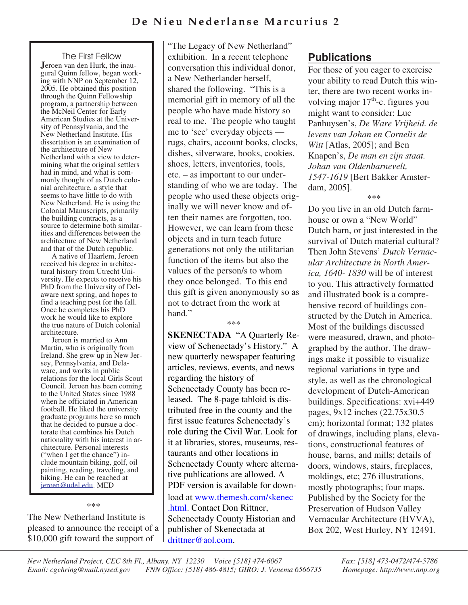## **De Nieu Nederlanse Marcurius 2**

#### **The First Fellow**

**J**eroen van den Hurk, the inau-<br>gural Quinn fellow, began work-<br>ing with NNP on September 12, 2005. He obtained this position through the Quinn Fellowship program, a partnership between the McNeil Center for Early<br>American Studies at the University of Pennsylvania, and the New Netherland Institute. His dissertation is an examination of the architecture of New<br>Netherland with a view to determining what the original settlers<br>had in mind, and what is commonly thought of as Dutch colo-<br>nial architecture, a style that seems to have little to do with New Netherland. He is using the Colonial Manuscripts, primarily the building contracts, as a ities and differences between the architecture of New Netherland and that of the Dutch republic.

A native of Haarlem, Jeroen received his degree in architectural history from Utrecht University. He expects to receive his PhD from the University of Delaware next spring, and hopes to find a teaching post for the fall. Once he completes his PhD work he would like to explore the true nature of Dutch colonial architecture.

Jeroen is married to Ann Martin, who is originally from Ireland. She grew up in New Jersey, Pennsylvania, and Delaware, and works in public relations for the local Girls Scout Council. Jeroen has been coming to the United States since 1988 when he officiated in American football. He liked the university graduate programs here so much that he decided to pursue a doctorate that combines his Dutch nationality with his interest in architecture. Personal interests ("when I get the chance") include mountain biking, golf, oil painting, reading, traveling, and hiking. He can be reached at jeroen@udel.edu. MED

\*\*\*

The New Netherland Institute is pleased to announce the receipt of a \$10,000 gift toward the support of

"The Legacy of New Netherland" exhibition. In a recent telephone conversation this individual donor, a New Netherlander herself, shared the following. "This is a memorial gift in memory of all the people who have made history so real to me. The people who taught me to 'see' everyday objects rugs, chairs, account books, clocks, dishes, silverware, books, cookies, shoes, letters, inventories, tools, etc. – as important to our understanding of who we are today. The people who used these objects originally we will never know and often their names are forgotten, too. However, we can learn from these objects and in turn teach future generations not only the utilitarian function of the items but also the values of the person/s to whom they once belonged. To this end this gift is given anonymously so as not to detract from the work at hand."

\*\*\*

**SKENECTADA** "A Quarterly Review of Schenectady's History." A new quarterly newspaper featuring articles, reviews, events, and news regarding the history of Schenectady County has been released. The 8-page tabloid is distributed free in the county and the first issue features Schenectady's role during the Civil War. Look for it at libraries, stores, museums, restaurants and other locations in Schenectady County where alternative publications are allowed. A PDF version is available for download at www.themesh.com/skenec [.html. Contact Don Rittner,](http://www.themesh.com/skenec.html) Schenectady County Historian and publisher of Skenectada at [drittner@aol.com.](mailto:drittner@aol.com)

# **Publications**

For those of you eager to exercise your ability to read Dutch this winter, there are two recent works involving major  $17<sup>th</sup>$ -c. figures you might want to consider: Luc Panhuysen's, *De Ware Vrijheid. de levens van Johan en Cornelis de Witt* [Atlas, 2005]; and Ben Knapen's, *De man en zijn staat. Johan van Oldenbarnevelt, 1547-1619* [Bert Bakker Amsterdam, 2005]. \*\*\*

Do you live in an old Dutch farmhouse or own a "New World" Dutch barn, or just interested in the survival of Dutch material cultural? Then John Stevens' *Dutch Vernacular Architecture in North America, 1640- 1830* will be of interest to you. This attractively formatted and illustrated book is a comprehensive record of buildings constructed by the Dutch in America. Most of the buildings discussed were measured, drawn, and photographed by the author. The drawings make it possible to visualize regional variations in type and style, as well as the chronological development of Dutch-American buildings. Specifications: xvi+449 pages, 9x12 inches (22.75x30.5 cm); horizontal format; 132 plates of drawings, including plans, elevations, constructional features of house, barns, and mills; details of doors, windows, stairs, fireplaces, moldings, etc; 276 illustrations, mostly photographs; four maps. Published by the Society for the Preservation of Hudson Valley Vernacular Architecture (HVVA), Box 202, West Hurley, NY 12491.

*New Netherland Project, CEC 8th Fl., Albany, NY 12230 Voice [518] 474-6067 Fax: [518] 473-0472/474-5786 Email: cgehring@mail.nysed.gov FNN Office: [518] 486-4815; GIRO: J. Venema 6566735 Homepage: http://www.nnp.org*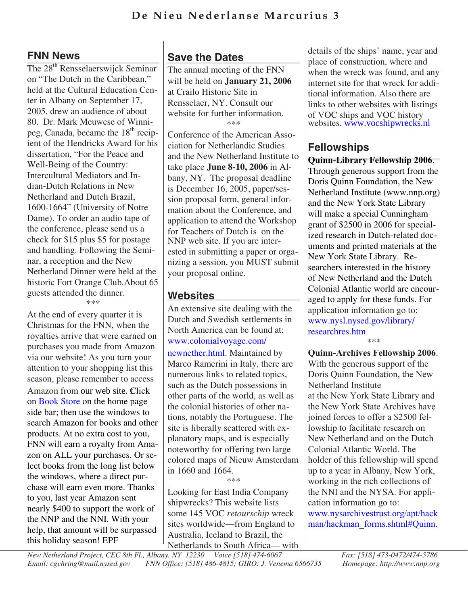### **FNN News**

The 28<sup>th</sup> Rensselaerswijck Seminar on "The Dutch in the Caribbean," held at the Cultural Education Center in Albany on September 17, 2005, drew an audience of about 80. Dr. Mark Meuwese of Winnipeg, Canada, became the  $18<sup>th</sup>$  recipient of the Hendricks Award for his dissertation, "For the Peace and Well-Being of the Country: Intercultural Mediators and Indian-Dutch Relations in New Netherland and Dutch Brazil, 1600-1664" (University of Notre Dame). To order an audio tape of the conference, please send us a check for \$15 plus \$5 for postage and handling. Following the Seminar, a reception and the New Netherland Dinner were held at the historic Fort Orange Club.About 65 guests attended the dinner. \*\*\*

At the end of every quarter it is Christmas for the FNN, when the royalties arrive that were earned on purchases you made from Amazon via our website! As you turn your attention to your shopping list this season, please remember to access Amazon from our web site. Click on [Book Store](http://www.nnp.org/fnn/fnnstore/books.html) on the home page side bar; then use the windows to search Amazon for books and other products. At no extra cost to you, FNN will earn a royalty from Amazon on ALL your purchases. Or select books from the long list below the windows, where a direct purchase will earn even more. Thanks to you, last year Amazon sent nearly \$400 to support the work of the NNP and the NNI. With your help, that amount will be surpassed this holiday season! EPF

# **Save the Dates**

The annual meeting of the FNN will be held on **January 21, 2006** at Crailo Historic Site in Rensselaer, NY. Consult our website for further information. \*\*\*

Conference of the American Association for Netherlandic Studies and the New Netherland Institute to take place **June 8-10, 2006** in Albany, NY. The proposal deadline is December 16, 2005, paper/session proposal form, general information about the Conference, and application to attend the Workshop for Teachers of Dutch is on the NNP web site. If you are interested in submitting a paper or organizing a session, you MUST submit your proposal online.

# **Websites**

An extensive site dealing with the Dutch and Swedish settlements in North America can be found at: [www.colonialvoyage.com/](http://www.colonialvoyage.com/newnether.html) newnether.html. Maintained by Marco Ramerini in Italy, there are numerous links to related topics, such as the Dutch possessions in other parts of the world, as well as the colonial histories of other nations, notably the Portuguese. The site is liberally scattered with explanatory maps, and is especially noteworthy for offering two large colored maps of Nieuw Amsterdam in 1660 and 1664.

\*\*\*

Looking for East India Company shipwrecks? This website lists some 145 VOC *retourschip* wreck sites worldwide—from England to Australia, Iceland to Brazil, the Netherlands to South Africa— with details of the ships' name, year and place of construction, where and when the wreck was found, and any internet site for that wreck for additional information. Also there are links to other websites with listings of [VOC ships and VOC history](http://www.vocshipwrecks.nl/) websites. www.vocshipwrecks.nl

# **Fellowships**

**Quinn-Library Fellowship 2006**. Through generous support from the Doris Quinn Foundation, the New Netherland Institute (www.nnp.org) and the New York State Library will make a special Cunningham grant of \$2500 in 2006 for specialized research in Dutch-related documents and printed materials at the New York State Library. Researchers interested in the history of New Netherland and the Dutch Colonial Atlantic world are encouraged to apply for these funds. For application information go to: www.nysl.nysed.gov/library/ [researchres.htm](http://www.nysl.nysed.gov/library/researchres.htm) \*\*\*

**Quinn-Archives Fellowship 2006**. With the generous support of the Doris Quinn Foundation, the New Netherland Institute at the New York State Library and the New York State Archives have joined forces to offer a \$2500 fellowship to facilitate research on New Netherland and on the Dutch Colonial Atlantic World. The holder of this fellowship will spend up to a year in Albany, New York, working in the rich collections of the NNI and the NYSA. For application information go to: www.nysarchivestrust.org/apt/hack [man/hackman\\_forms.shtml#Quinn.](http://www.nysarchivestrust.org/apt/hackman/hackman_forms.shtml#Quinn)